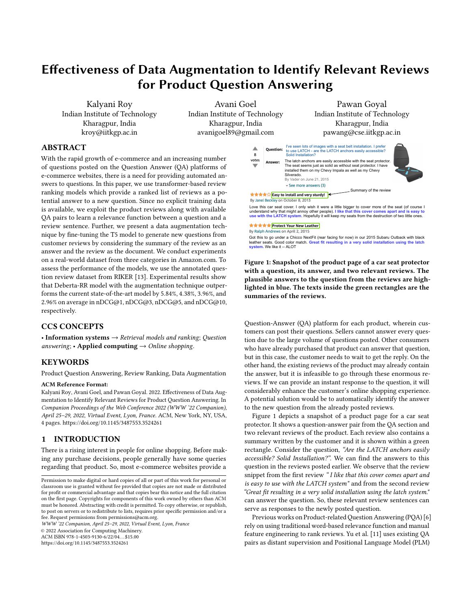# Effectiveness of Data Augmentation to Identify Relevant Reviews for Product Question Answering

Kalyani Roy Indian Institute of Technology Kharagpur, India kroy@iitkgp.ac.in

Avani Goel Indian Institute of Technology Kharagpur, India avanigoel89@gmail.com

# ABSTRACT

With the rapid growth of e-commerce and an increasing number of questions posted on the Question Answer (QA) platforms of e-commerce websites, there is a need for providing automated answers to questions. In this paper, we use transformer-based review ranking models which provide a ranked list of reviews as a potential answer to a new question. Since no explicit training data is available, we exploit the product reviews along with available QA pairs to learn a relevance function between a question and a review sentence. Further, we present a data augmentation technique by fine-tuning the T5 model to generate new questions from customer reviews by considering the summary of the review as an answer and the review as the document. We conduct experiments on a real-world dataset from three categories in Amazon.com. To assess the performance of the models, we use the annotated question review dataset from RIKER [\[13\]](#page-3-0). Experimental results show that Deberta-RR model with the augmentation technique outperforms the current state-of-the-art model by 5.84%, 4.38%, 3.96%, and 2.96% on average in nDCG@1, nDCG@3, nDCG@5, and nDCG@10, respectively.

## CCS CONCEPTS

• Information systems  $\rightarrow$  Retrieval models and ranking; Ouestion answering; • Applied computing  $\rightarrow$  Online shopping.

## **KEYWORDS**

Product Question Answering, Review Ranking, Data Augmentation

#### ACM Reference Format:

Kalyani Roy, Avani Goel, and Pawan Goyal. 2022. Effectiveness of Data Augmentation to Identify Relevant Reviews for Product Question Answering. In Companion Proceedings of the Web Conference 2022 (WWW '22 Companion), April 25–29, 2022, Virtual Event, Lyon, France. ACM, New York, NY, USA, [4](#page-3-1) pages.<https://doi.org/10.1145/3487553.3524261>

#### 1 INTRODUCTION

There is a rising interest in people for online shopping. Before making any purchase decisions, people generally have some queries regarding that product. So, most e-commerce websites provide a

WWW '22 Companion, April 25–29, 2022, Virtual Event, Lyon, France

© 2022 Association for Computing Machinery.

ACM ISBN 978-1-4503-9130-6/22/04. . . \$15.00

<https://doi.org/10.1145/3487553.3524261>

Pawan Goyal Indian Institute of Technology Kharagpur, India pawang@cse.iitkgp.ac.in

<span id="page-0-0"></span>

Got this to go under a Chicco NextFit (rear facing for now) in our 2015 Subaru Outback with black leather seats. Good color match. **Great fit resulting in a very solid installation using the latch** system. We like it -- ALOT

Figure 1: Snapshot of the product page of a car seat protector with a question, its answer, and two relevant reviews. The plausible answers to the question from the reviews are highlighted in blue. The texts inside the green rectangles are the summaries of the reviews.

Question-Answer (QA) platform for each product, wherein customers can post their questions. Sellers cannot answer every question due to the large volume of questions posted. Other consumers who have already purchased that product can answer that question, but in this case, the customer needs to wait to get the reply. On the other hand, the existing reviews of the product may already contain the answer, but it is infeasible to go through these enormous reviews. If we can provide an instant response to the question, it will considerably enhance the customer's online shopping experience. A potential solution would be to automatically identify the answer to the new question from the already posted reviews.

Figure [1](#page-0-0) depicts a snapshot of a product page for a car seat protector. It shows a question-answer pair from the QA section and two relevant reviews of the product. Each review also contains a summary written by the customer and it is shown within a green rectangle. Consider the question, "Are the LATCH anchors easily accessible? Solid Installation?". We can find the answers to this question in the reviews posted earlier. We observe that the review snippet from the first review "I like that this cover comes apart and is easy to use with the LATCH system" and from the second review "Great fit resulting in a very solid installation using the latch system." can answer the question. So, these relevant review sentences can serve as responses to the newly posted question.

Previous works on Product-related Question Answering (PQA) [\[6\]](#page-3-2) rely on using traditional word-based relevance function and manual feature engineering to rank reviews. Yu et al. [\[11\]](#page-3-3) uses existing QA pairs as distant supervision and Positional Language Model (PLM)

Permission to make digital or hard copies of all or part of this work for personal or classroom use is granted without fee provided that copies are not made or distributed for profit or commercial advantage and that copies bear this notice and the full citation on the first page. Copyrights for components of this work owned by others than ACM must be honored. Abstracting with credit is permitted. To copy otherwise, or republish, to post on servers or to redistribute to lists, requires prior specific permission and/or a fee. Request permissions from permissions@acm.org.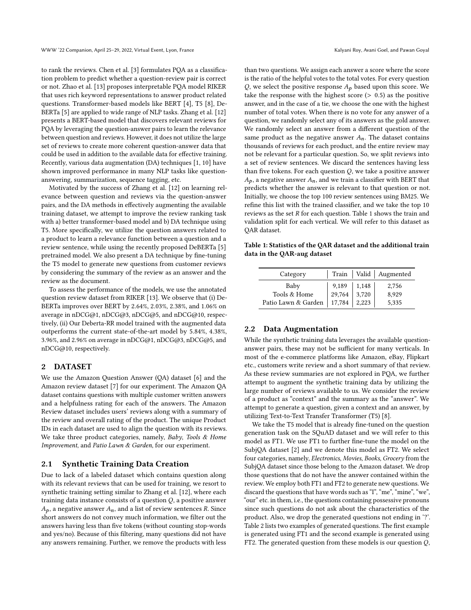to rank the reviews. Chen et al. [\[3\]](#page-3-4) formulates PQA as a classification problem to predict whether a question-review pair is correct or not. Zhao et al. [\[13\]](#page-3-0) proposes interpretable PQA model RIKER that uses rich keyword representations to answer product related questions. Transformer-based models like BERT [\[4\]](#page-3-5), T5 [\[8\]](#page-3-6), De-BERTa [\[5\]](#page-3-7) are applied to wide range of NLP tasks. Zhang et al. [\[12\]](#page-3-8) presents a BERT-based model that discovers relevant reviews for PQA by leveraging the question-answer pairs to learn the relevance between question and reviews. However, it does not utilize the large set of reviews to create more coherent question-answer data that could be used in addition to the available data for effective training. Recently, various data augmentation (DA) techniques [\[1,](#page-3-9) [10\]](#page-3-10) have shown improved performance in many NLP tasks like questionanswering, summarization, sequence tagging, etc.

Motivated by the success of Zhang et al. [\[12\]](#page-3-8) on learning relevance between question and reviews via the question-answer pairs, and the DA methods in effectively augmenting the available training dataset, we attempt to improve the review ranking task with a) better transformer-based model and b) DA technique using T5. More specifically, we utilize the question answers related to a product to learn a relevance function between a question and a review sentence, while using the recently proposed DeBERTa [\[5\]](#page-3-7) pretrained model. We also present a DA technique by fine-tuning the T5 model to generate new questions from customer reviews by considering the summary of the review as an answer and the review as the document.

To assess the performance of the models, we use the annotated question review dataset from RIKER [\[13\]](#page-3-0). We observe that (i) De-BERTa improves over BERT by 2.64%, 2.03%, 2.38%, and 1.06% on average in nDCG@1, nDCG@3, nDCG@5, and nDCG@10, respectively, (ii) Our Deberta-RR model trained with the augmented data outperforms the current state-of-the-art model by 5.84%, 4.38%, 3.96%, and 2.96% on average in nDCG@1, nDCG@3, nDCG@5, and nDCG@10, respectively.

# <span id="page-1-1"></span>2 DATASET

We use the Amazon Question Answer (QA) dataset [\[6\]](#page-3-2) and the Amazon review dataset [\[7\]](#page-3-11) for our experiment. The Amazon QA dataset contains questions with multiple customer written answers and a helpfulness rating for each of the answers. The Amazon Review dataset includes users' reviews along with a summary of the review and overall rating of the product. The unique Product IDs in each dataset are used to align the question with its reviews. We take three product categories, namely, Baby, Tools & Home Improvement, and Patio Lawn & Garden, for our experiment.

## <span id="page-1-2"></span>2.1 Synthetic Training Data Creation

Due to lack of a labeled dataset which contains question along with its relevant reviews that can be used for training, we resort to synthetic training setting similar to Zhang et al. [\[12\]](#page-3-8), where each training data instance consists of a question  $Q$ , a positive answer  $A_p$ , a negative answer  $A_n$ , and a list of review sentences R. Since short answers do not convey much information, we filter out the answers having less than five tokens (without counting stop-words and yes/no). Because of this filtering, many questions did not have any answers remaining. Further, we remove the products with less than two questions. We assign each answer a score where the score is the ratio of the helpful votes to the total votes. For every question Q, we select the positive response  $A_p$  based upon this score. We take the response with the highest score  $(> 0.5)$  as the positive answer, and in the case of a tie, we choose the one with the highest number of total votes. When there is no vote for any answer of a question, we randomly select any of its answers as the gold answer. We randomly select an answer from a different question of the same product as the negative answer  $A_n$ . The dataset contains thousands of reviews for each product, and the entire review may not be relevant for a particular question. So, we split reviews into a set of review sentences. We discard the sentences having less than five tokens. For each question  $Q$ , we take a positive answer  $A_p$ , a negative answer  $A_n$ , and we train a classifier with BERT that predicts whether the answer is relevant to that question or not. Initially, we choose the top 100 review sentences using BM25. We refine this list with the trained classifier, and we take the top 10 reviews as the set  $R$  for each question. Table [1](#page-1-0) shows the train and validation split for each vertical. We will refer to this dataset as QAR dataset.

<span id="page-1-0"></span>Table 1: Statistics of the QAR dataset and the additional train data in the QAR-aug dataset

| Category            |                 |                | Train   Valid   Augmented |
|---------------------|-----------------|----------------|---------------------------|
| Baby                |                 | 1,148<br>3,720 | 2,756                     |
| Tools & Home        | 9,189<br>29,764 |                | 8,929                     |
| Patio Lawn & Garden | 17,784          | 2,223          | 5,335                     |

## 2.2 Data Augmentation

While the synthetic training data leverages the available questionanswer pairs, these may not be sufficient for many verticals. In most of the e-commerce platforms like Amazon, eBay, Flipkart etc., customers write review and a short summary of that review. As these review summaries are not explored in PQA, we further attempt to augment the synthetic training data by utilizing the large number of reviews available to us. We consider the review of a product as "context" and the summary as the "answer". We attempt to generate a question, given a context and an answer, by utilizing Text-to-Text Transfer Transformer (T5) [\[8\]](#page-3-6).

We take the T5 model that is already fine-tuned on the question generation task on the SQuAD dataset and we will refer to this model as FT1. We use FT1 to further fine-tune the model on the SubjQA dataset [\[2\]](#page-3-12) and we denote this model as FT2. We select four categories, namely, Electronics, Movies, Books, Grocery from the SubjQA dataset since those belong to the Amazon dataset. We drop those questions that do not have the answer contained within the review. We employ both FT1 and FT2 to generate new questions. We discard the questions that have words such as "I", "me", "mine", "we", "our" etc. in them, i.e., the questions containing possessive pronouns since such questions do not ask about the characteristics of the product. Also, we drop the generated questions not ending in '?'. Table [2](#page-2-0) lists two examples of generated questions. The first example is generated using FT1 and the second example is generated using FT2. The generated question from these models is our question  $Q$ ,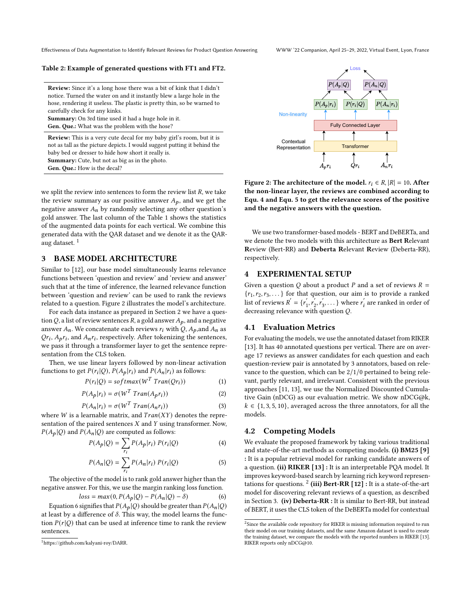Effectiveness of Data Augmentation to Identify Relevant Reviews for Product Question Answering WWW '22 Companion, April 25–29, 2022, Virtual Event, Lyon, France

<span id="page-2-0"></span>Table 2: Example of generated questions with FT1 and FT2.

Review: Since it's a long hose there was a bit of kink that I didn't notice. Turned the water on and it instantly blew a large hole in the hose, rendering it useless. The plastic is pretty thin, so be warned to carefully check for any kinks.

Summary: On 3rd time used it had a huge hole in it. Gen. Que.: What was the problem with the hose?

Review: This is a very cute decal for my baby girl's room, but it is not as tall as the picture depicts. I would suggest putting it behind the baby bed or dresser to hide how short it really is. Summary: Cute, but not as big as in the photo. Gen. Que.: How is the decal?

we split the review into sentences to form the review list  $R$ , we take the review summary as our positive answer  $A_p$ , and we get the negative answer  $A_n$  by randomly selecting any other question's gold answer. The last column of the Table [1](#page-1-0) shows the statistics of the augmented data points for each vertical. We combine this generated data with the QAR dataset and we denote it as the QAR-aug dataset.<sup>[1](#page-2-1)</sup>

## <span id="page-2-7"></span>3 BASE MODEL ARCHITECTURE

Similar to [\[12\]](#page-3-8), our base model simultaneously learns relevance functions between 'question and review' and 'review and answer' such that at the time of inference, the learned relevance function between 'question and review' can be used to rank the reviews related to a question. Figure [2](#page-2-2) illustrates the model's architecture.

For each data instance as prepared in Section [2](#page-1-1) we have a question Q, a list of review sentences R, a gold answer  $A_p$ , and a negative answer  $A_n$ . We concatenate each reviews  $r_i$  with Q,  $A_p$ , and  $A_n$  as  $Qr_i$ ,  $A_p r_i$ , and  $A_n r_i$ , respectively. After tokenizing the sentences, we pass it through a transformer layer to get the sentence representation from the CLS token.

Then, we use linear layers followed by non-linear activation functions to get  $P(r_i|Q)$ ,  $P(A_p|r_i)$  and  $P(A_n|r_i)$  as follows:

$$
P(r_i|Q) = softmax(W^T \, Tran(Qr_i)) \tag{1}
$$

$$
P(A_p|r_i) = \sigma(W^T \, Tran(A_p r_i)) \tag{2}
$$

$$
P(A_n|r_i) = \sigma(W^T \, Tran(A_n r_i)) \tag{3}
$$

where  $W$  is a learnable matrix, and  $Tran(XY)$  denotes the representation of the paired sentences  $X$  and  $Y$  using transformer. Now,  $P(A_p | Q)$  and  $P(A_n | Q)$  are computed as follows:

<span id="page-2-4"></span>
$$
P(A_p|Q) = \sum_{r_i} P(A_p|r_i) P(r_i|Q)
$$
 (4)

<span id="page-2-5"></span>
$$
P(A_n|Q) = \sum_{r_i} P(A_n|r_i) P(r_i|Q)
$$
\n(5)

The objective of the model is to rank gold answer higher than the negative answer. For this, we use the margin ranking loss function.

<span id="page-2-3"></span>
$$
loss = max(0, P(A_p | Q) - P(A_n | Q) - \delta)
$$
 (6)

Equation [6](#page-2-3) signifies that  $P(A_p | Q)$  should be greater than  $P(A_n | Q)$ at least by a difference of  $\delta$ . This way, the model learns the function  $P(r|Q)$  that can be used at inference time to rank the review sentences.

<span id="page-2-2"></span>

Figure 2: The architecture of the model.  $r_i \in R$ ,  $|R| = 10$ . After the non-linear layer, the reviews are combined according to Equ. [4](#page-2-4) and Equ. [5](#page-2-5) to get the relevance scores of the positive and the negative answers with the question.

We use two transformer-based models - BERT and DeBERTa, and we denote the two models with this architecture as Bert Relevant Review (Bert-RR) and Deberta Relevant Review (Deberta-RR), respectively.

#### 4 EXPERIMENTAL SETUP

Given a question Q about a product P and a set of reviews  $R =$  ${r_1, r_2, r_3, \ldots}$  for that question, our aim is to provide a ranked list of reviews  $R' = \{r'_1\}$  $r_1, r_2$  $r'_3, r'_3$  $\zeta'_3, \ldots$  where  $r'_i$  are ranked in order of decreasing relevance with question  $Q$ .

#### 4.1 Evaluation Metrics

For evaluating the models, we use the annotated dataset from RIKER [\[13\]](#page-3-0). It has 40 annotated questions per vertical. There are on average 17 reviews as answer candidates for each question and each question-review pair is annotated by 3 annotators, based on relevance to the question, which can be 2/1/0 pertained to being relevant, partly relevant, and irrelevant. Consistent with the previous approaches [\[11,](#page-3-3) [13\]](#page-3-0), we use the Normalized Discounted Cumulative Gain (nDCG) as our evaluation metric. We show nDCG@k,  $k \in \{1, 3, 5, 10\}$ , averaged across the three annotators, for all the models.

# 4.2 Competing Models

We evaluate the proposed framework by taking various traditional and state-of-the-art methods as competing models. (i) BM25 [\[9\]](#page-3-13) : It is a popular retrieval model for ranking candidate answers of a question. (ii)  $RIKER [13]$  $RIKER [13]$ : It is an interpretable PQA model. It improves keyword-based search by learning rich keyword representations for questions.  $^2$  $^2$  (iii) Bert-RR [\[12\]](#page-3-8) : It is a state-of-the-art model for discovering relevant reviews of a question, as described in Section [3.](#page-2-7) (iv) Deberta-RR : It is similar to Bert-RR, but instead of BERT, it uses the CLS token of the DeBERTa model for contextual

<span id="page-2-1"></span><sup>1</sup>https://github.com/kalyani-roy/DARR.

<span id="page-2-6"></span> $2$ Since the available code repository for RIKER is missing information required to run their model on our training datasets, and the same Amazon dataset is used to create the training dataset, we compare the models with the reported numbers in RIKER [\[13\]](#page-3-0). RIKER reports only nDCG@10.